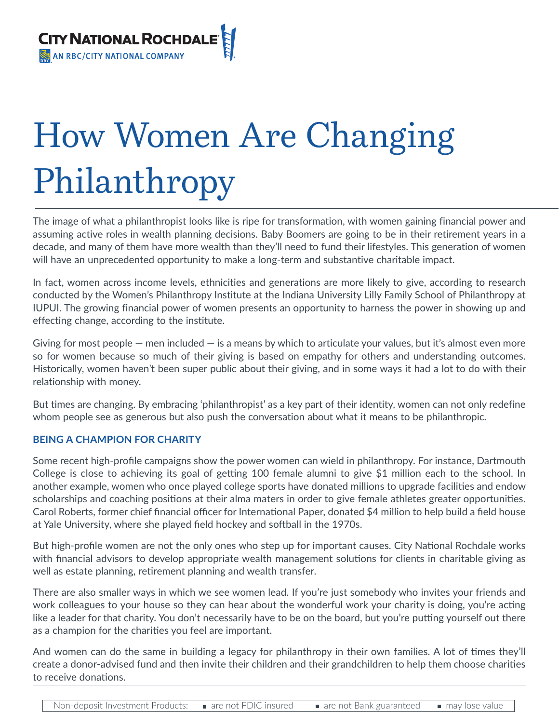

# How Women Are Changing Philanthropy

The image of what a philanthropist looks like is ripe for transformation, with women gaining financial power and assuming active roles in wealth planning decisions. Baby Boomers are going to be in their retirement years in a decade, and many of them have more wealth than they'll need to fund their lifestyles. This generation of women will have an unprecedented opportunity to make a long-term and substantive charitable impact.

In fact, women across income levels, ethnicities and generations are more likely to give, according to research conducted by the Women's Philanthropy Institute at the Indiana University Lilly Family School of Philanthropy at IUPUI. The growing financial power of women presents an opportunity to harness the power in showing up and effecting change, according to the institute.

Giving for most people  $-$  men included  $-$  is a means by which to articulate your values, but it's almost even more so for women because so much of their giving is based on empathy for others and understanding outcomes. Historically, women haven't been super public about their giving, and in some ways it had a lot to do with their relationship with money.

But times are changing. By embracing 'philanthropist' as a key part of their identity, women can not only redefine whom people see as generous but also push the conversation about what it means to be philanthropic.

## **BEING A CHAMPION FOR CHARITY**

Some recent high-profile campaigns show the power women can wield in philanthropy. For instance, Dartmouth College is close to achieving its goal of getting 100 female alumni to give \$1 million each to the school. In another example, women who once played college sports have donated millions to upgrade facilities and endow scholarships and coaching positions at their alma maters in order to give female athletes greater opportunities. Carol Roberts, former chief financial officer for International Paper, donated \$4 million to help build a field house at Yale University, where she played field hockey and softball in the 1970s.

But high-profile women are not the only ones who step up for important causes. City National Rochdale works with financial advisors to develop appropriate wealth management solutions for clients in charitable giving as well as estate planning, retirement planning and wealth transfer.

There are also smaller ways in which we see women lead. If you're just somebody who invites your friends and work colleagues to your house so they can hear about the wonderful work your charity is doing, you're acting like a leader for that charity. You don't necessarily have to be on the board, but you're putting yourself out there as a champion for the charities you feel are important.

And women can do the same in building a legacy for philanthropy in their own families. A lot of times they'll create a donor-advised fund and then invite their children and their grandchildren to help them choose charities to receive donations.

Non-deposit Investment Products: are not FDIC insured are not Bank guaranteed are may lose value